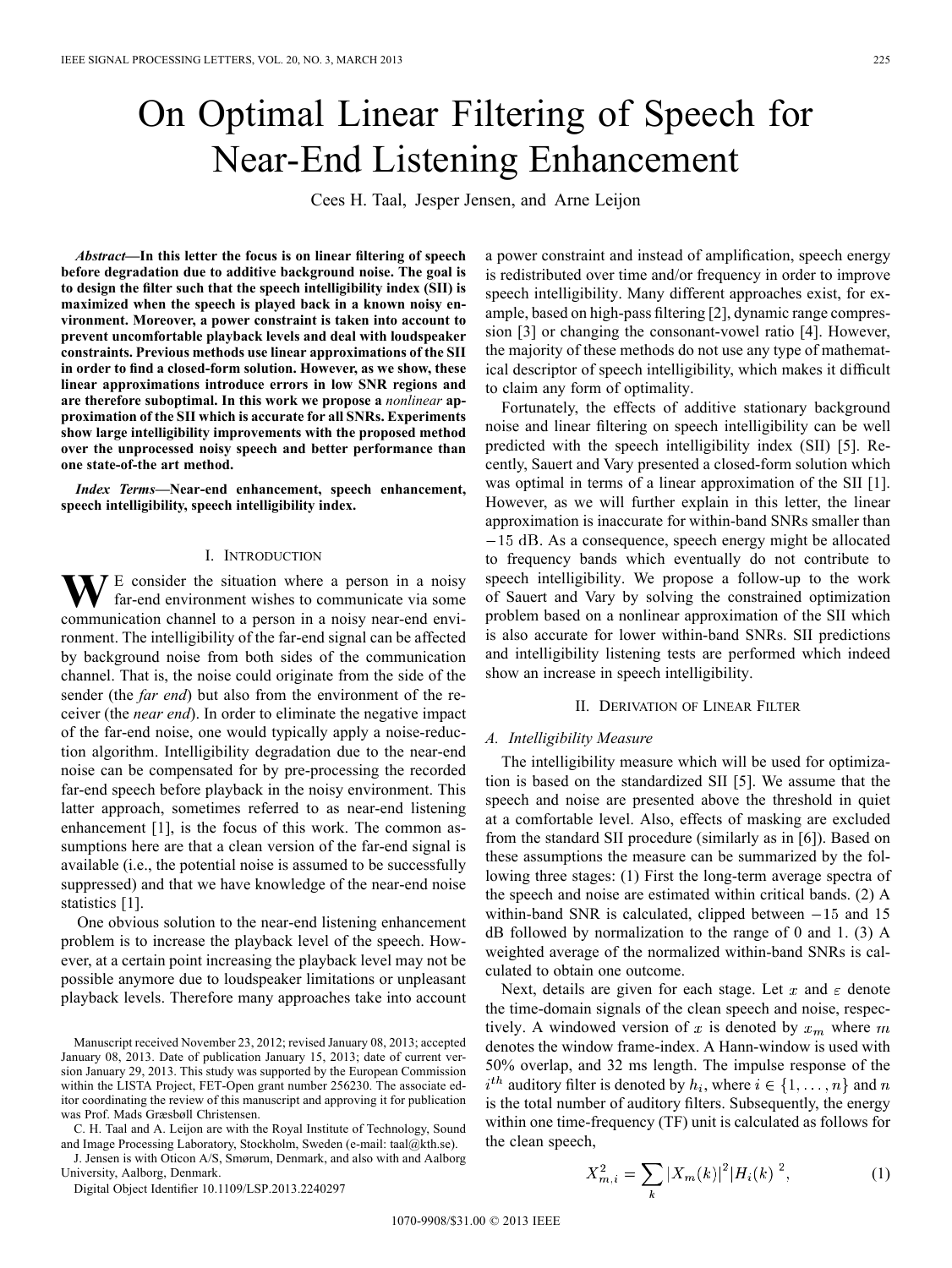# On Optimal Linear Filtering of Speech for Near-End Listening Enhancement

Cees H. Taal, Jesper Jensen, and Arne Leijon

*Abstract—***In this letter the focus is on linear filtering of speech before degradation due to additive background noise. The goal is to design the filter such that the speech intelligibility index (SII) is maximized when the speech is played back in a known noisy environment. Moreover, a power constraint is taken into account to prevent uncomfortable playback levels and deal with loudspeaker constraints. Previous methods use linear approximations of the SII in order to find a closed-form solution. However, as we show, these linear approximations introduce errors in low SNR regions and are therefore suboptimal. In this work we propose a** *nonlinear* **approximation of the SII which is accurate for all SNRs. Experiments show large intelligibility improvements with the proposed method over the unprocessed noisy speech and better performance than one state-of-the art method.**

*Index Terms—***Near-end enhancement, speech enhancement, speech intelligibility, speech intelligibility index.**

## I. INTRODUCTION

WE consider the situation where a person in a noisy far-end environment wishes to communicate via some communication channel to a person in a noisy near-end environment. The intelligibility of the far-end signal can be affected by background noise from both sides of the communication channel. That is, the noise could originate from the side of the sender (the *far end*) but also from the environment of the receiver (the *near end*). In order to eliminate the negative impact of the far-end noise, one would typically apply a noise-reduction algorithm. Intelligibility degradation due to the near-end noise can be compensated for by pre-processing the recorded far-end speech before playback in the noisy environment. This latter approach, sometimes referred to as near-end listening enhancement [1], is the focus of this work. The common assumptions here are that a clean version of the far-end signal is available (i.e., the potential noise is assumed to be successfully suppressed) and that we have knowledge of the near-end noise statistics [1].

One obvious solution to the near-end listening enhancement problem is to increase the playback level of the speech. However, at a certain point increasing the playback level may not be possible anymore due to loudspeaker limitations or unpleasant playback levels. Therefore many approaches take into account

C. H. Taal and A. Leijon are with the Royal Institute of Technology, Sound and Image Processing Laboratory, Stockholm, Sweden (e-mail: taal@kth.se).

J. Jensen is with Oticon A/S, Smørum, Denmark, and also with and Aalborg University, Aalborg, Denmark.

Digital Object Identifier 10.1109/LSP.2013.2240297

a power constraint and instead of amplification, speech energy is redistributed over time and/or frequency in order to improve speech intelligibility. Many different approaches exist, for example, based on high-pass filtering [2], dynamic range compression [3] or changing the consonant-vowel ratio [4]. However, the majority of these methods do not use any type of mathematical descriptor of speech intelligibility, which makes it difficult to claim any form of optimality.

Fortunately, the effects of additive stationary background noise and linear filtering on speech intelligibility can be well predicted with the speech intelligibility index (SII) [5]. Recently, Sauert and Vary presented a closed-form solution which was optimal in terms of a linear approximation of the SII [1]. However, as we will further explain in this letter, the linear approximation is inaccurate for within-band SNRs smaller than  $-15$  dB. As a consequence, speech energy might be allocated to frequency bands which eventually do not contribute to speech intelligibility. We propose a follow-up to the work of Sauert and Vary by solving the constrained optimization problem based on a nonlinear approximation of the SII which is also accurate for lower within-band SNRs. SII predictions and intelligibility listening tests are performed which indeed show an increase in speech intelligibility.

# II. DERIVATION OF LINEAR FILTER

## *A. Intelligibility Measure*

The intelligibility measure which will be used for optimization is based on the standardized SII [5]. We assume that the speech and noise are presented above the threshold in quiet at a comfortable level. Also, effects of masking are excluded from the standard SII procedure (similarly as in [6]). Based on these assumptions the measure can be summarized by the following three stages: (1) First the long-term average spectra of the speech and noise are estimated within critical bands. (2) A within-band SNR is calculated, clipped between  $-15$  and 15  $dB$  followed by normalization to the range of 0 and 1. (3) A weighted average of the normalized within-band SNRs is calculated to obtain one outcome.

Next, details are given for each stage. Let x and  $\varepsilon$  denote the time-domain signals of the clean speech and noise, respectively. A windowed version of x is denoted by  $x_m$  where m denotes the window frame-index. A Hann-window is used with 50% overlap, and 32 ms length. The impulse response of the  $i^{th}$  auditory filter is denoted by  $h_i$ , where  $i \in \{1, \ldots, n\}$  and n is the total number of auditory filters. Subsequently, the energy within one time-frequency (TF) unit is calculated as follows for the clean speech,

$$
X_{m,i}^{2} = \sum_{k} |X_{m}(k)|^{2} |H_{i}(k)|^{2}, \qquad (1)
$$

Manuscript received November 23, 2012; revised January 08, 2013; accepted January 08, 2013. Date of publication January 15, 2013; date of current version January 29, 2013. This study was supported by the European Commission within the LISTA Project, FET-Open grant number 256230. The associate editor coordinating the review of this manuscript and approving it for publication was Prof. Mads Græsbøll Christensen.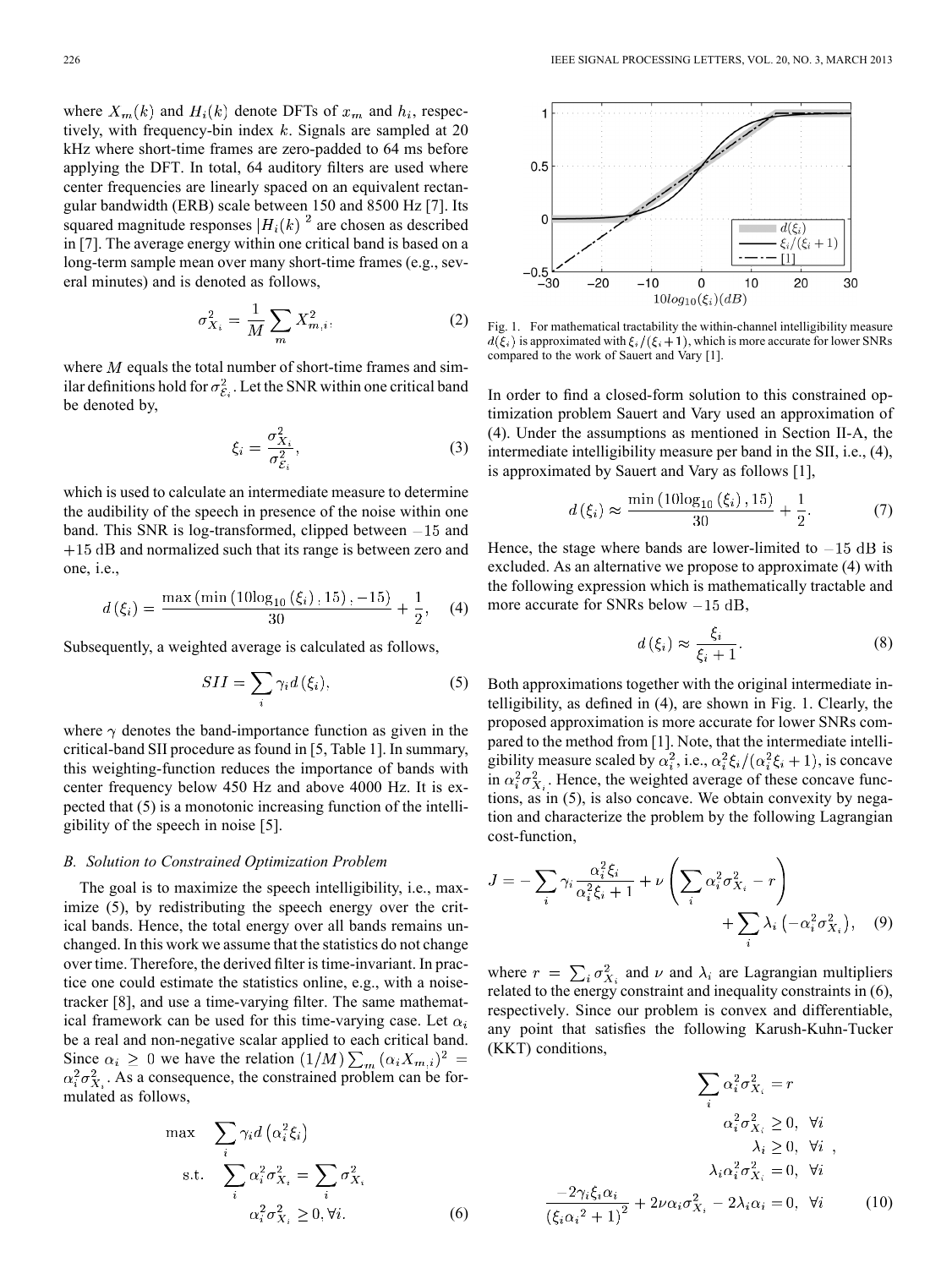where  $X_m(k)$  and  $H_i(k)$  denote DFTs of  $x_m$  and  $h_i$ , respectively, with frequency-bin index  $k$ . Signals are sampled at 20 kHz where short-time frames are zero-padded to 64 ms before applying the DFT. In total, 64 auditory filters are used where center frequencies are linearly spaced on an equivalent rectangular bandwidth (ERB) scale between 150 and 8500 Hz [7]. Its squared magnitude responses  $|H_i(k)|^2$  are chosen as described in [7]. The average energy within one critical band is based on a long-term sample mean over many short-time frames (e.g., several minutes) and is denoted as follows,

$$
\sigma_{X_i}^2 = \frac{1}{M} \sum_m X_{m,i}^2,\tag{2}
$$

where  $M$  equals the total number of short-time frames and similar definitions hold for  $\sigma_{\mathcal{E}_{i}}^2$ . Let the SNR within one critical band be denoted by,

$$
\xi_i = \frac{\sigma_{X_i}^2}{\sigma_{\mathcal{E}_i}^2},\tag{3}
$$

which is used to calculate an intermediate measure to determine the audibility of the speech in presence of the noise within one band. This SNR is log-transformed, clipped between  $-15$  and  $+15$  dB and normalized such that its range is between zero and one, i.e.,

$$
d(\xi_i) = \frac{\max(\min(10\log_{10}(\xi_i), 15), -15)}{30} + \frac{1}{2}, \quad (4)
$$

Subsequently, a weighted average is calculated as follows,

$$
SII = \sum_{i} \gamma_i d(\xi_i),\tag{5}
$$

where  $\gamma$  denotes the band-importance function as given in the critical-band SII procedure as found in [5, Table 1]. In summary, this weighting-function reduces the importance of bands with center frequency below 450 Hz and above 4000 Hz. It is expected that (5) is a monotonic increasing function of the intelligibility of the speech in noise [5].

#### *B. Solution to Constrained Optimization Problem*

The goal is to maximize the speech intelligibility, i.e., maximize (5), by redistributing the speech energy over the critical bands. Hence, the total energy over all bands remains unchanged. In this work we assume that the statistics do not change over time. Therefore, the derived filter is time-invariant. In practice one could estimate the statistics online, e.g., with a noisetracker [8], and use a time-varying filter. The same mathematical framework can be used for this time-varying case. Let  $\alpha_i$ be a real and non-negative scalar applied to each critical band. Since  $\alpha_i \geq 0$  we have the relation  $(1/M) \sum_m (\alpha_i X_{m,i})^2 =$  $\alpha_i^2 \sigma_{X_i}^2$ . As a consequence, the constrained problem can be formulated as follows,

$$
\max_{i} \sum_{i} \gamma_{i} d\left(\alpha_{i}^{2} \xi_{i}\right)
$$
\n
$$
\text{s.t.} \sum_{i} \alpha_{i}^{2} \sigma_{X_{i}}^{2} = \sum_{i} \sigma_{X_{i}}^{2}
$$
\n
$$
\alpha_{i}^{2} \sigma_{X_{i}}^{2} \geq 0, \forall i.
$$
\n(6)



Fig. 1. For mathematical tractability the within-channel intelligibility measure  $d(\xi_i)$  is approximated with  $\xi_i/(\xi_i+1)$ , which is more accurate for lower SNRs compared to the work of Sauert and Vary [1].

In order to find a closed-form solution to this constrained optimization problem Sauert and Vary used an approximation of (4). Under the assumptions as mentioned in Section II-A, the intermediate intelligibility measure per band in the SII, i.e., (4), is approximated by Sauert and Vary as follows [1],

$$
d(\xi_i) \approx \frac{\min(10\log_{10}(\xi_i), 15)}{30} + \frac{1}{2}.
$$
 (7)

Hence, the stage where bands are lower-limited to  $-15$  dB is excluded. As an alternative we propose to approximate (4) with the following expression which is mathematically tractable and more accurate for SNRs below  $-15$  dB,

$$
d\left(\xi_i\right) \approx \frac{\xi_i}{\xi_i + 1}.\tag{8}
$$

Both approximations together with the original intermediate intelligibility, as defined in (4), are shown in Fig. 1. Clearly, the proposed approximation is more accurate for lower SNRs compared to the method from [1]. Note, that the intermediate intelligibility measure scaled by  $\alpha_i^2$ , i.e.,  $\alpha_i^2 \xi_i/(\alpha_i^2 \xi_i + 1)$ , is concave in  $\alpha_i^2 \sigma_X^2$ . Hence, the weighted average of these concave functions, as in (5), is also concave. We obtain convexity by negation and characterize the problem by the following Lagrangian cost-function,

$$
J = -\sum_{i} \gamma_i \frac{\alpha_i^2 \xi_i}{\alpha_i^2 \xi_i + 1} + \nu \left( \sum_{i} \alpha_i^2 \sigma_{X_i}^2 - r \right) + \sum_{i} \lambda_i \left( -\alpha_i^2 \sigma_{X_i}^2 \right), \quad (9)
$$

where  $r = \sum_i \sigma_{X_i}^2$  and  $\nu$  and  $\lambda_i$  are Lagrangian multipliers related to the energy constraint and inequality constraints in (6), respectively. Since our problem is convex and differentiable, any point that satisfies the following Karush-Kuhn-Tucker (KKT) conditions,

$$
\sum_{i} \alpha_i^2 \sigma_{X_i}^2 = r
$$

$$
\alpha_i^2 \sigma_{X_i}^2 \ge 0, \forall i
$$

$$
\lambda_i \ge 0, \forall i
$$

$$
\lambda_i \ge 0, \forall i
$$

$$
\frac{-2\gamma_i \xi_i \alpha_i}{(\xi_i \alpha_i^2 + 1)^2} + 2\nu \alpha_i \sigma_{X_i}^2 - 2\lambda_i \alpha_i = 0, \forall i
$$
(10)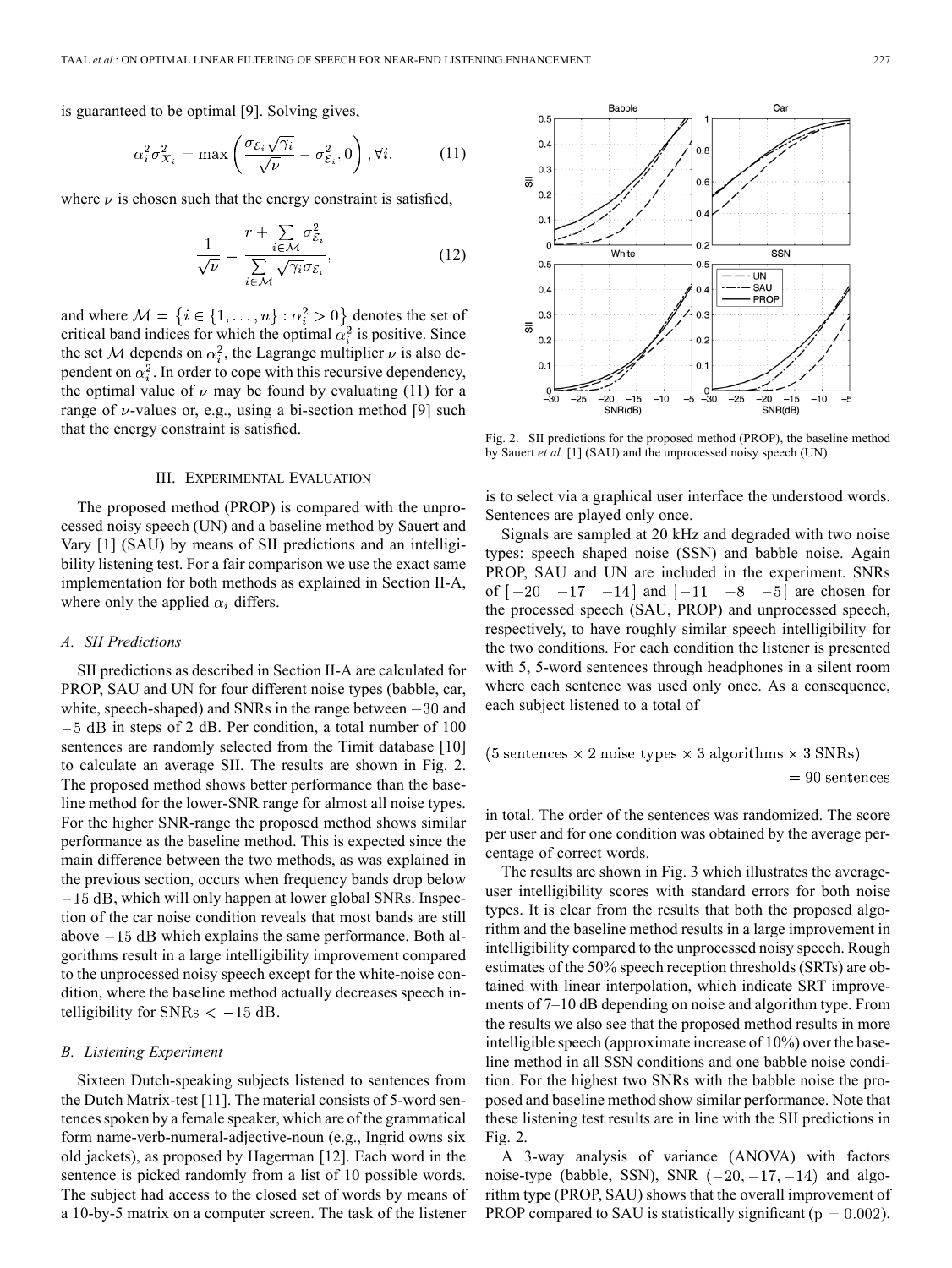is guaranteed to be optimal [9]. Solving gives,

$$
\alpha_i^2 \sigma_{X_i}^2 = \max\left(\frac{\sigma_{\mathcal{E}_i} \sqrt{\gamma_i}}{\sqrt{\nu}} - \sigma_{\mathcal{E}_i}^2, 0\right), \forall i,
$$
 (11)

where  $\nu$  is chosen such that the energy constraint is satisfied,

$$
\frac{1}{\sqrt{\nu}} = \frac{r + \sum\limits_{i \in \mathcal{M}} \sigma_{\mathcal{E}_i}^2}{\sum\limits_{i \in \mathcal{M}} \sqrt{\gamma_i} \sigma_{\mathcal{E}_i}},\tag{12}
$$

and where  $\mathcal{M} = \{i \in \{1, ..., n\} : \alpha_i^2 > 0\}$  denotes the set of critical band indices for which the optimal  $\alpha_i^2$  is positive. Since the set M depends on  $\alpha_i^2$ , the Lagrange multiplier  $\nu$  is also dependent on  $\alpha_i^2$ . In order to cope with this recursive dependency, the optimal value of  $\nu$  may be found by evaluating (11) for a range of  $\nu$ -values or, e.g., using a bi-section method [9] such that the energy constraint is satisfied.

# III. EXPERIMENTAL EVALUATION

The proposed method (PROP) is compared with the unprocessed noisy speech (UN) and a baseline method by Sauert and Vary [1] (SAU) by means of SII predictions and an intelligibility listening test. For a fair comparison we use the exact same implementation for both methods as explained in Section II-A, where only the applied  $\alpha_i$  differs.

## *A. SII Predictions*

SII predictions as described in Section II-A are calculated for PROP, SAU and UN for four different noise types (babble, car, white, speech-shaped) and SNRs in the range between  $-30$  and  $-5$  dB in steps of 2 dB. Per condition, a total number of 100 sentences are randomly selected from the Timit database [10] to calculate an average SII. The results are shown in Fig. 2. The proposed method shows better performance than the baseline method for the lower-SNR range for almost all noise types. For the higher SNR-range the proposed method shows similar performance as the baseline method. This is expected since the main difference between the two methods, as was explained in the previous section, occurs when frequency bands drop below  $-15$  dB, which will only happen at lower global SNRs. Inspection of the car noise condition reveals that most bands are still above  $-15$  dB which explains the same performance. Both algorithms result in a large intelligibility improvement compared to the unprocessed noisy speech except for the white-noise condition, where the baseline method actually decreases speech intelligibility for  $SNRs < -15$  dB.

# *B. Listening Experiment*

Sixteen Dutch-speaking subjects listened to sentences from the Dutch Matrix-test [11]. The material consists of 5-word sentences spoken by a female speaker, which are of the grammatical form name-verb-numeral-adjective-noun (e.g., Ingrid owns six old jackets), as proposed by Hagerman [12]. Each word in the sentence is picked randomly from a list of 10 possible words. The subject had access to the closed set of words by means of a 10-by-5 matrix on a computer screen. The task of the listener



Fig. 2. SII predictions for the proposed method (PROP), the baseline method by Sauert *et al.* [1] (SAU) and the unprocessed noisy speech (UN).

is to select via a graphical user interface the understood words. Sentences are played only once.

Signals are sampled at 20 kHz and degraded with two noise types: speech shaped noise (SSN) and babble noise. Again PROP, SAU and UN are included in the experiment. SNRs of  $[-20$  -17 -14 and  $[-11$  -8 -5 are chosen for the processed speech (SAU, PROP) and unprocessed speech, respectively, to have roughly similar speech intelligibility for the two conditions. For each condition the listener is presented with 5, 5-word sentences through headphones in a silent room where each sentence was used only once. As a consequence, each subject listened to a total of

$$
(5 \text{ sentences} \times 2 \text{ noise types} \times 3 \text{ algorithms} \times 3 \text{ SNRs})
$$
  
= 90 sentences

in total. The order of the sentences was randomized. The score per user and for one condition was obtained by the average percentage of correct words.

The results are shown in Fig. 3 which illustrates the averageuser intelligibility scores with standard errors for both noise types. It is clear from the results that both the proposed algorithm and the baseline method results in a large improvement in intelligibility compared to the unprocessed noisy speech. Rough estimates of the 50% speech reception thresholds (SRTs) are obtained with linear interpolation, which indicate SRT improvements of 7–10 dB depending on noise and algorithm type. From the results we also see that the proposed method results in more intelligible speech (approximate increase of 10%) over the baseline method in all SSN conditions and one babble noise condition. For the highest two SNRs with the babble noise the proposed and baseline method show similar performance. Note that these listening test results are in line with the SII predictions in Fig. 2.

A 3-way analysis of variance (ANOVA) with factors noise-type (babble, SSN), SNR  $(-20, -17, -14)$  and algorithm type (PROP, SAU) shows that the overall improvement of PROP compared to SAU is statistically significant ( $p = 0.002$ ).